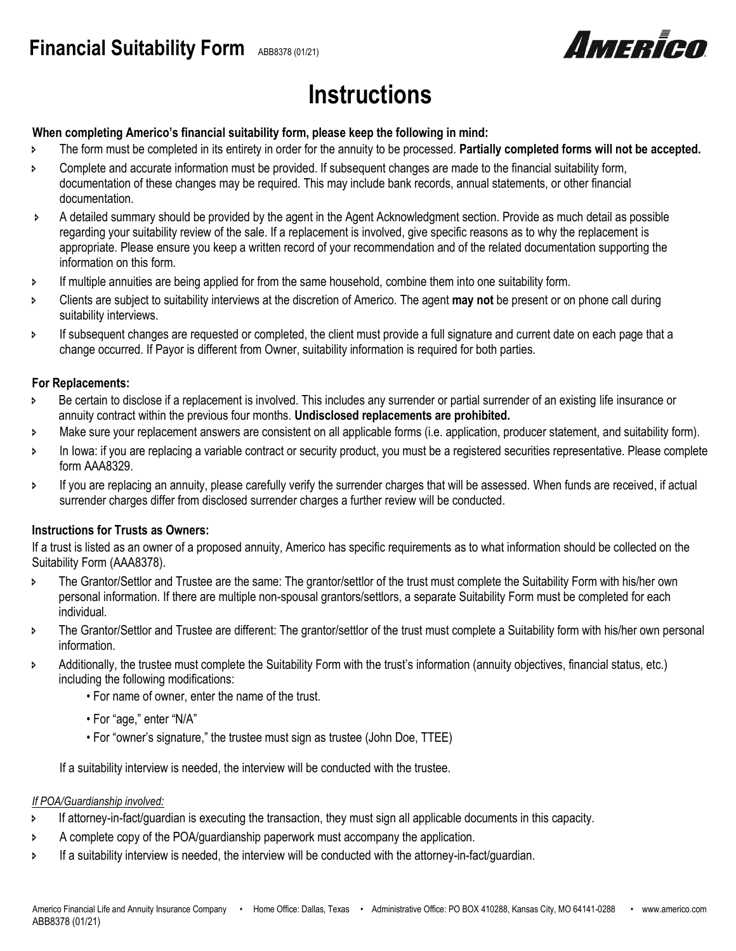

# **Instructions**

## **When completing Americo's financial suitability form, please keep the following in mind:**

- The form must be completed in its entirety in order for the annuity to be processed. **Partially completed forms will not be accepted.**
- **EXECOMPLET 2** Complete and accurate information must be provided. If subsequent changes are made to the financial suitability form, documentation of these changes may be required. This may include bank records, annual statements, or other financial documentation.
- A detailed summary should be provided by the agent in the Agent Acknowledgment section. Provide as much detail as possible regarding your suitability review of the sale. If a replacement is involved, give specific reasons as to why the replacement is appropriate. Please ensure you keep a written record of your recommendation and of the related documentation supporting the information on this form.
- **If multiple annuities are being applied for from the same household, combine them into one suitability form.**
- Clients are subject to suitability interviews at the discretion of Americo. The agent **may not** be present or on phone call during suitability interviews.
- If subsequent changes are requested or completed, the client must provide a full signature and current date on each page that a change occurred. If Payor is different from Owner, suitability information is required for both parties.

### **For Replacements:**

- Be certain to disclose if a replacement is involved. This includes any surrender or partial surrender of an existing life insurance or annuity contract within the previous four months. **Undisclosed replacements are prohibited.**
- > Make sure your replacement answers are consistent on all applicable forms (i.e. application, producer statement, and suitability form).
- In Iowa: if you are replacing a variable contract or security product, you must be a registered securities representative. Please complete form AAA8329.
- If you are replacing an annuity, please carefully verify the surrender charges that will be assessed. When funds are received, if actual surrender charges differ from disclosed surrender charges a further review will be conducted.

## **Instructions for Trusts as Owners:**

If a trust is listed as an owner of a proposed annuity, Americo has specific requirements as to what information should be collected on the Suitability Form (AAA8378).

- **FRANTIFY The Grantor/Settlor and Trustee are the same: The grantor/settlor of the trust must complete the Suitability Form with his/her own** personal information. If there are multiple non-spousal grantors/settlors, a separate Suitability Form must be completed for each individual.
- **>** The Grantor/Settlor and Trustee are different: The grantor/settlor of the trust must complete a Suitability form with his/her own personal information.
- Additionally, the trustee must complete the Suitability Form with the trust's information (annuity objectives, financial status, etc.) including the following modifications:
	- For name of owner, enter the name of the trust.
	- For "age," enter "N/A"
	- For "owner's signature," the trustee must sign as trustee (John Doe, TTEE)

If a suitability interview is needed, the interview will be conducted with the trustee.

#### *If POA/Guardianship involved:*

- If attorney-in-fact/guardian is executing the transaction, they must sign all applicable documents in this capacity.
- A complete copy of the POA/guardianship paperwork must accompany the application.
- If a suitability interview is needed, the interview will be conducted with the attorney-in-fact/guardian.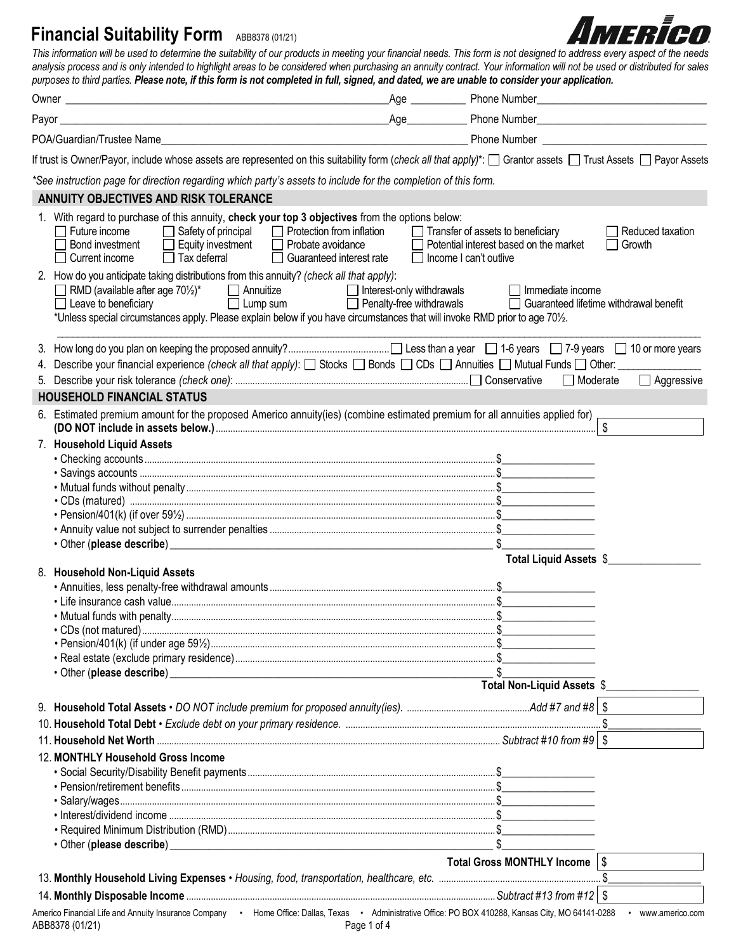*This information will be used to determine the suitability of our products in meeting your financial needs. This form is not designed to address every aspect of the needs*  analysis process and is only intended to highlight areas to be considered when purchasing an annuity contract. Your information will not be used or distributed for sales *purposes to third parties. Please note, if this form is not completed in full, signed, and dated, we are unable to consider your application.* Owner **Example 2** Compared the Compact 2 Compared the Compact 2 Compact 2 Compact 2 Compact 2 Compact 2 Compact 2 Compact 2 Compact 2 Compact 2 Compact 2 Compact 2 Compact 2 Compact 2 Compact 2 Compact 2 Compact 2 Compact Payor **Example 2** Phone Number **Property** Phone Number POA/Guardian/Trustee Name\_\_\_\_\_\_\_\_\_\_\_\_\_\_\_\_\_\_\_\_\_\_\_\_\_\_\_\_\_\_\_\_\_\_\_\_\_\_\_\_\_\_\_\_\_\_\_\_\_\_\_\_\_\_\_\_ Phone Number \_\_\_\_\_\_\_\_\_\_\_\_\_\_\_\_\_\_\_\_\_\_\_\_\_\_\_\_\_\_ If trust is Owner/Payor, include whose assets are represented on this suitability form (*check all that apply*)\*:  $\Box$  Grantor assets  $\Box$  Trust Assets  $\Box$  Payor Assets *\*See instruction page for direction regarding which party's assets to include for the completion of this form.* **ANNUITY OBJECTIVES AND RISK TOLERANCE** 1. With regard to purchase of this annuity, **check your top 3 objectives** from the options below: Future income Gafety of principal C Protection from inflation Transfer of assets to beneficiary C Reduced taxation Reduced taxation Reduced taxation Reduced taxation Reduced taxation Reduced taxation Reduced taxation Reduc □ Equity investment □ Probate avoidance □ Potential interest based on the market □ Tax deferral □ Guaranteed interest rate □ Income I can't outlive Current income Tax deferral Guaranteed interest rate Income I can't outlive 2. How do you anticipate taking distributions from this annuity? *(check all that apply)*:<br>  $\Box$  RMD (available after age 70<sup>1</sup>/<sub>2</sub>)<sup>\*</sup>  $\Box$  Annuitize  $\Box$  Interest-c RMD (available after age 70<sup>1</sup>/<sub>2</sub>)\* <br>
annuitize Interest-only withdrawals Immediate income Interest-only withdrawals Immediate income Interest only withdrawals Immediate income □ Leave to beneficiary △ △ △ △ △ Lump sum △ △ Penalty-free withdrawals △ Guaranteed lifetime withdrawal benefit \*Unless special circumstances apply. Please explain below if you have circumstances that will invoke RMD prior to age 70½. \_\_\_\_\_\_\_\_\_\_\_\_\_\_\_\_\_\_\_\_\_\_\_\_\_\_\_\_\_\_\_\_\_\_\_\_\_\_\_\_\_\_\_\_\_\_\_\_\_\_\_\_\_\_\_\_\_\_\_\_\_\_\_\_\_\_\_\_\_\_\_\_\_\_\_\_\_\_\_\_\_\_\_\_\_\_\_\_\_\_\_\_\_\_\_\_\_\_\_\_\_\_\_\_\_\_\_\_\_\_\_\_\_\_\_\_\_\_\_\_\_\_\_\_ 3. How long do you plan on keeping the proposed annuity?....................................... Less than a year 1-6 years 7-9 years 10 or more years 4. Describe your financial experience *(check all that apply)*:  $\square$  Stocks  $\square$  Bonds  $\square$  CDs  $\square$  Annuities  $\square$  Mutual Funds  $\square$  Other: 5. Describe your risk tolerance *(check one)*: ............................................................................................... ConservativeModerate Aggressive **HOUSEHOLD FINANCIAL STATUS** 6. Estimated premium amount for the proposed Americo annuity(ies) (combine estimated premium for all annuities applied for) **(DO NOT include in assets below.)**........................................................................................................................................................... \$\_\_\_\_\_\_\_\_\_\_\_\_\_\_\_\_\_ 7. **Household Liquid Assets** • Checking accounts ...............................................................................................................................................\$\_\_\_\_\_\_\_\_\_\_\_\_\_\_\_\_\_ • Savings accounts **Financial Suitability Form** ABB8378 (01/21)

|                                    | Total Liquid Assets \$          |  |
|------------------------------------|---------------------------------|--|
| 8. Household Non-Liquid Assets     |                                 |  |
|                                    |                                 |  |
|                                    |                                 |  |
|                                    |                                 |  |
|                                    |                                 |  |
|                                    |                                 |  |
|                                    |                                 |  |
|                                    |                                 |  |
|                                    | Total Non-Liquid Assets \$      |  |
|                                    |                                 |  |
|                                    |                                 |  |
|                                    |                                 |  |
| 12. MONTHLY Household Gross Income |                                 |  |
|                                    |                                 |  |
|                                    |                                 |  |
|                                    |                                 |  |
|                                    |                                 |  |
|                                    |                                 |  |
|                                    |                                 |  |
|                                    | Total Gross MONTHLY Income   \$ |  |
|                                    |                                 |  |
|                                    |                                 |  |
|                                    |                                 |  |

Americo Financial Life and Annuity Insurance Company • Home Office: Dallas, Texas • Administrative Office: PO BOX 410288, Kansas City, MO 64141-0288 • www.americo.com ABB8378 (01/21) Page 1 of 4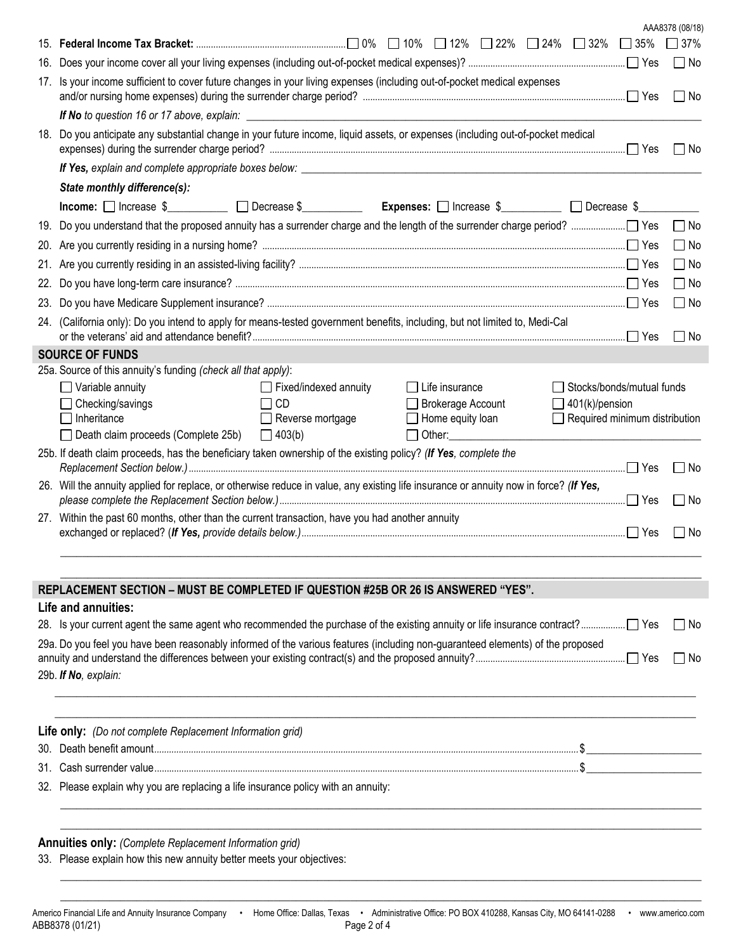|     |                                                                                                                                       |                                  |                                                 |                               |                           | AAA8378 (08/18) |
|-----|---------------------------------------------------------------------------------------------------------------------------------------|----------------------------------|-------------------------------------------------|-------------------------------|---------------------------|-----------------|
|     |                                                                                                                                       |                                  |                                                 |                               | $\Box$ 35%                | $\Box$ 37%      |
| 16. |                                                                                                                                       |                                  |                                                 |                               |                           | $\Box$ No       |
| 17. | Is your income sufficient to cover future changes in your living expenses (including out-of-pocket medical expenses                   |                                  |                                                 |                               |                           | $\Box$ No       |
|     | If No to question 16 or 17 above, explain:                                                                                            |                                  |                                                 |                               |                           |                 |
| 18. | Do you anticipate any substantial change in your future income, liquid assets, or expenses (including out-of-pocket medical           |                                  |                                                 |                               |                           | l INo           |
|     |                                                                                                                                       |                                  |                                                 |                               |                           |                 |
|     | State monthly difference(s):                                                                                                          |                                  |                                                 |                               |                           |                 |
|     | $Income:$ $\Box$ Increase $\$\_$ $\Box$ Decrease $\$\_$                                                                               |                                  | <b>Expenses:</b> □ Increase \$<br>□ Decrease \$ |                               |                           |                 |
|     |                                                                                                                                       |                                  |                                                 |                               |                           | $\Box$ No       |
|     |                                                                                                                                       |                                  |                                                 |                               |                           | $\Box$ No       |
|     |                                                                                                                                       |                                  |                                                 |                               |                           | $\Box$ No       |
| 22. |                                                                                                                                       |                                  |                                                 |                               |                           | $\Box$ No       |
| 23. |                                                                                                                                       |                                  |                                                 |                               |                           | $\Box$ No       |
|     | 24. (California only): Do you intend to apply for means-tested government benefits, including, but not limited to, Medi-Cal           |                                  |                                                 |                               |                           | $\Box$ No       |
|     | <b>SOURCE OF FUNDS</b>                                                                                                                |                                  |                                                 |                               |                           |                 |
|     | 25a. Source of this annuity's funding (check all that apply):                                                                         |                                  |                                                 |                               |                           |                 |
|     | $\Box$ Variable annuity                                                                                                               | $\Box$ Fixed/indexed annuity     | Life insurance                                  |                               | Stocks/bonds/mutual funds |                 |
|     | Checking/savings                                                                                                                      | <b>CD</b>                        | <b>Brokerage Account</b>                        | $\Box$ 401(k)/pension         |                           |                 |
|     | Inheritance                                                                                                                           | Reverse mortgage<br>$\mathbf{L}$ | Home equity loan                                | Required minimum distribution |                           |                 |
|     | $\Box$ Death claim proceeds (Complete 25b)                                                                                            | $\Box$ 403(b)                    | $\Box$ Other:                                   |                               |                           |                 |
|     | 25b. If death claim proceeds, has the beneficiary taken ownership of the existing policy? (If Yes, complete the                       |                                  |                                                 |                               |                           | l INo           |
|     | 26. Will the annuity applied for replace, or otherwise reduce in value, any existing life insurance or annuity now in force? (If Yes, |                                  |                                                 |                               |                           | $\Box$ No       |
|     | 27. Within the past 60 months, other than the current transaction, have you had another annuity                                       |                                  |                                                 |                               |                           | l No            |
|     |                                                                                                                                       |                                  |                                                 |                               |                           |                 |

# **REPLACEMENT SECTION – MUST BE COMPLETED IF QUESTION #25B OR 26 IS ANSWERED "YES".**

#### **Life and annuities:**

| 29a. Do you feel you have been reasonably informed of the various features (including non-quaranteed elements) of the proposed | ⊟ No |
|--------------------------------------------------------------------------------------------------------------------------------|------|
| 29b. If No, explain:                                                                                                           |      |

 $\_$  ,  $\_$  ,  $\_$  ,  $\_$  ,  $\_$  ,  $\_$  ,  $\_$  ,  $\_$  ,  $\_$  ,  $\_$  ,  $\_$  ,  $\_$  ,  $\_$  ,  $\_$  ,  $\_$  ,  $\_$  ,  $\_$  ,  $\_$  ,  $\_$  ,  $\_$  ,  $\_$  ,  $\_$  ,  $\_$  ,  $\_$  ,  $\_$  ,  $\_$  ,  $\_$  ,  $\_$  ,  $\_$  ,  $\_$  ,  $\_$  ,  $\_$  ,  $\_$  ,  $\_$  ,  $\_$  ,  $\_$  ,  $\_$  ,  $\_$  , and the set of the set of the set of the set of the set of the set of the set of the set of the set of the set of the set of the set of the set of the set of the set of the set of the set of the set of the set of th

| <b>Life only:</b> (Do not complete Replacement Information grid)                  |
|-----------------------------------------------------------------------------------|
|                                                                                   |
|                                                                                   |
| 32. Please explain why you are replacing a life insurance policy with an annuity: |
|                                                                                   |

 $\_$  , and the set of the set of the set of the set of the set of the set of the set of the set of the set of the set of the set of the set of the set of the set of the set of the set of the set of the set of the set of th

 $\_$  ,  $\_$  ,  $\_$  ,  $\_$  ,  $\_$  ,  $\_$  ,  $\_$  ,  $\_$  ,  $\_$  ,  $\_$  ,  $\_$  ,  $\_$  ,  $\_$  ,  $\_$  ,  $\_$  ,  $\_$  ,  $\_$  ,  $\_$  ,  $\_$  ,  $\_$  ,  $\_$  ,  $\_$  ,  $\_$  ,  $\_$  ,  $\_$  ,  $\_$  ,  $\_$  ,  $\_$  ,  $\_$  ,  $\_$  ,  $\_$  ,  $\_$  ,  $\_$  ,  $\_$  ,  $\_$  ,  $\_$  ,  $\_$  ,  $\_$  , and the set of the set of the set of the set of the set of the set of the set of the set of the set of the set of the set of the set of the set of the set of the set of the set of the set of the set of the set of th

# **Annuities only:** *(Complete Replacement Information grid)*

33. Please explain how this new annuity better meets your objectives: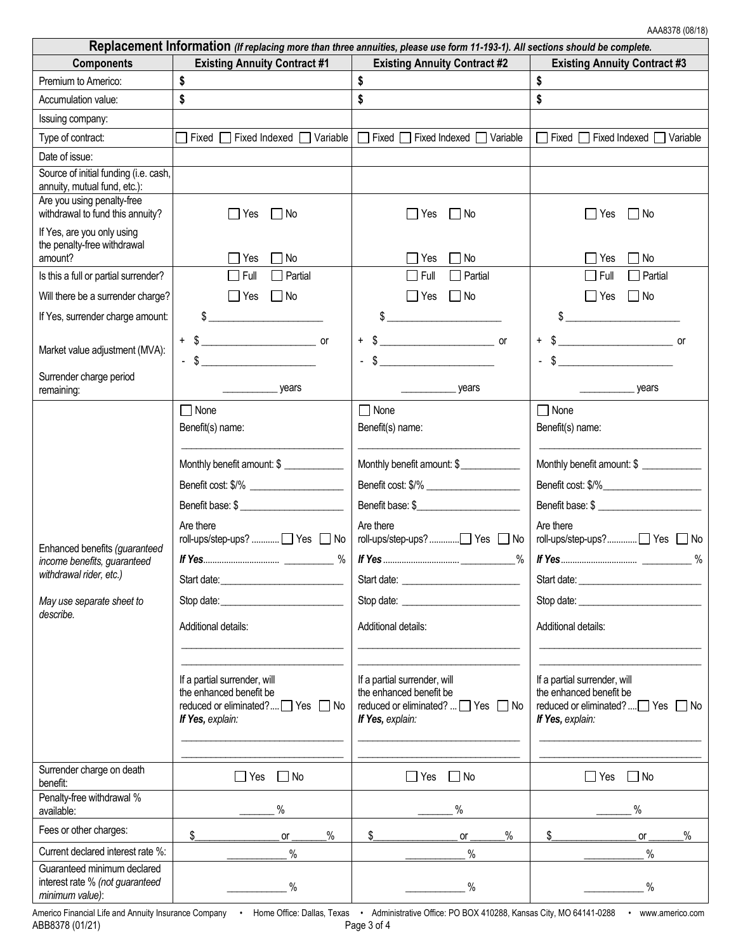| Replacement Information (If replacing more than three annuities, please use form 11-193-1). All sections should be complete.      |                                                                                                                                                                                                                                                                                                                                                                                                                                                                                                                                        |                                                                                                                                                                                                                                                                                                        |                                                                                                                                                                                                                                                                                                                                                                                        |  |  |
|-----------------------------------------------------------------------------------------------------------------------------------|----------------------------------------------------------------------------------------------------------------------------------------------------------------------------------------------------------------------------------------------------------------------------------------------------------------------------------------------------------------------------------------------------------------------------------------------------------------------------------------------------------------------------------------|--------------------------------------------------------------------------------------------------------------------------------------------------------------------------------------------------------------------------------------------------------------------------------------------------------|----------------------------------------------------------------------------------------------------------------------------------------------------------------------------------------------------------------------------------------------------------------------------------------------------------------------------------------------------------------------------------------|--|--|
| <b>Components</b>                                                                                                                 | <b>Existing Annuity Contract #1</b>                                                                                                                                                                                                                                                                                                                                                                                                                                                                                                    | <b>Existing Annuity Contract #2</b>                                                                                                                                                                                                                                                                    | <b>Existing Annuity Contract #3</b>                                                                                                                                                                                                                                                                                                                                                    |  |  |
| Premium to Americo:                                                                                                               | \$                                                                                                                                                                                                                                                                                                                                                                                                                                                                                                                                     | \$                                                                                                                                                                                                                                                                                                     | \$                                                                                                                                                                                                                                                                                                                                                                                     |  |  |
| Accumulation value:                                                                                                               | \$                                                                                                                                                                                                                                                                                                                                                                                                                                                                                                                                     | \$                                                                                                                                                                                                                                                                                                     | \$                                                                                                                                                                                                                                                                                                                                                                                     |  |  |
| Issuing company:                                                                                                                  |                                                                                                                                                                                                                                                                                                                                                                                                                                                                                                                                        |                                                                                                                                                                                                                                                                                                        |                                                                                                                                                                                                                                                                                                                                                                                        |  |  |
| Type of contract:                                                                                                                 | Fixed Indexed □ Variable<br>Fixed I<br>$\blacksquare$                                                                                                                                                                                                                                                                                                                                                                                                                                                                                  | $\Box$ Fixed $\Box$<br>T Fixed Indexed □ Variable                                                                                                                                                                                                                                                      | $\Box$ Fixed $\Box$ Fixed Indexed $\Box$ Variable                                                                                                                                                                                                                                                                                                                                      |  |  |
| Date of issue:                                                                                                                    |                                                                                                                                                                                                                                                                                                                                                                                                                                                                                                                                        |                                                                                                                                                                                                                                                                                                        |                                                                                                                                                                                                                                                                                                                                                                                        |  |  |
| Source of initial funding (i.e. cash,<br>annuity, mutual fund, etc.):                                                             |                                                                                                                                                                                                                                                                                                                                                                                                                                                                                                                                        |                                                                                                                                                                                                                                                                                                        |                                                                                                                                                                                                                                                                                                                                                                                        |  |  |
| Are you using penalty-free<br>withdrawal to fund this annuity?                                                                    | ∣ I No<br>l lYes                                                                                                                                                                                                                                                                                                                                                                                                                                                                                                                       | – I No<br>l lYes                                                                                                                                                                                                                                                                                       | ∣ I No<br>  Yes                                                                                                                                                                                                                                                                                                                                                                        |  |  |
| If Yes, are you only using<br>the penalty-free withdrawal<br>amount?                                                              | $\Box$ No<br>$\Box$ Yes                                                                                                                                                                                                                                                                                                                                                                                                                                                                                                                | $\Box$ No<br>∏ Yes                                                                                                                                                                                                                                                                                     | $\Box$ No<br>∣ ∣Yes                                                                                                                                                                                                                                                                                                                                                                    |  |  |
| Is this a full or partial surrender?                                                                                              | $\Box$ Full<br>$\Box$ Partial                                                                                                                                                                                                                                                                                                                                                                                                                                                                                                          | $\Box$ Partial<br>Full                                                                                                                                                                                                                                                                                 | Partial<br>$\Box$ Full                                                                                                                                                                                                                                                                                                                                                                 |  |  |
| Will there be a surrender charge?                                                                                                 | $\Box$ Yes<br>$\Box$ No                                                                                                                                                                                                                                                                                                                                                                                                                                                                                                                | $\Box$ No<br>$\Box$ Yes                                                                                                                                                                                                                                                                                | $\Box$ No<br>$\Box$ Yes                                                                                                                                                                                                                                                                                                                                                                |  |  |
| If Yes, surrender charge amount:                                                                                                  | $\frac{1}{2}$                                                                                                                                                                                                                                                                                                                                                                                                                                                                                                                          | \$                                                                                                                                                                                                                                                                                                     | \$                                                                                                                                                                                                                                                                                                                                                                                     |  |  |
| Market value adjustment (MVA):                                                                                                    | $+$ \$<br>or<br>$-$ \$                                                                                                                                                                                                                                                                                                                                                                                                                                                                                                                 | S<br>or<br>$\ddot{}$<br>$-$ \$                                                                                                                                                                                                                                                                         | <u> 1989 - Johann Barbara, martxa a</u><br><b>or</b><br>$\ddot{}$<br>$\sim$<br>$\blacksquare$                                                                                                                                                                                                                                                                                          |  |  |
| Surrender charge period<br>remaining:                                                                                             | <b>Example 20</b> years                                                                                                                                                                                                                                                                                                                                                                                                                                                                                                                | <b>Example 23</b> years                                                                                                                                                                                                                                                                                | years vears                                                                                                                                                                                                                                                                                                                                                                            |  |  |
| Enhanced benefits (guaranteed<br>income benefits, guaranteed<br>withdrawal rider, etc.)<br>May use separate sheet to<br>describe. | $\Box$ None<br>Benefit(s) name:<br>Monthly benefit amount: \$<br>Benefit base: \$<br>Are there<br>roll-ups/step-ups?    Yes   No<br>Start date:<br>Stop date: the state of the state of the state of the state of the state of the state of the state of the state of the state of the state of the state of the state of the state of the state of the state of the state of the<br>Additional details:<br>If a partial surrender, will<br>the enhanced benefit be<br>reduced or eliminated? $\Box$ Yes $\Box$ No<br>If Yes, explain: | $\Box$ None<br>Benefit(s) name:<br>Monthly benefit amount: \$<br>Benefit cost: \$/%<br>Benefit base: \$<br>Are there<br>roll-ups/step-ups? □ Yes □ No<br>%<br>Additional details:<br>If a partial surrender, will<br>the enhanced benefit be<br>reduced or eliminated?  □ Yes □ No<br>If Yes, explain: | $\Box$ None<br>Benefit(s) name:<br>Monthly benefit amount: \$<br>Benefit cost: \$/%<br>Benefit base: \$<br>Are there<br>roll-ups/step-ups?□ Yes □ No<br>Start date: <u>www.community.com</u><br>Stop date: <u>________________________</u><br>Additional details:<br>If a partial surrender, will<br>the enhanced benefit be<br>reduced or eliminated?  1 Yes 1 No<br>If Yes, explain: |  |  |
| Surrender charge on death<br>benefit:                                                                                             | $\Box$ Yes<br>$\Box$ No                                                                                                                                                                                                                                                                                                                                                                                                                                                                                                                | $\Box$ No<br>$\Box$ Yes                                                                                                                                                                                                                                                                                | $\Box$ Yes<br>$\Box$ No                                                                                                                                                                                                                                                                                                                                                                |  |  |
| Penalty-free withdrawal %<br>available:                                                                                           | $\%$                                                                                                                                                                                                                                                                                                                                                                                                                                                                                                                                   | $\%$                                                                                                                                                                                                                                                                                                   | $\%$                                                                                                                                                                                                                                                                                                                                                                                   |  |  |
| Fees or other charges:                                                                                                            | \$<br>%<br>or                                                                                                                                                                                                                                                                                                                                                                                                                                                                                                                          | $\%$<br>\$<br>or                                                                                                                                                                                                                                                                                       | $\%$<br>\$<br>or                                                                                                                                                                                                                                                                                                                                                                       |  |  |
| Current declared interest rate %:                                                                                                 | $\%$                                                                                                                                                                                                                                                                                                                                                                                                                                                                                                                                   | $\%$                                                                                                                                                                                                                                                                                                   | $\%$                                                                                                                                                                                                                                                                                                                                                                                   |  |  |
| Guaranteed minimum declared<br>interest rate % (not guaranteed<br>minimum value):                                                 | $\%$                                                                                                                                                                                                                                                                                                                                                                                                                                                                                                                                   | $\%$                                                                                                                                                                                                                                                                                                   | $\%$                                                                                                                                                                                                                                                                                                                                                                                   |  |  |

Americo Financial Life and Annuity Insurance Company • Home Office: Dallas, Texas • Administrative Office: PO BOX 410288, Kansas City, MO 64141-0288 • www.americo.com ABB8378 (01/21) Page 3 of 4